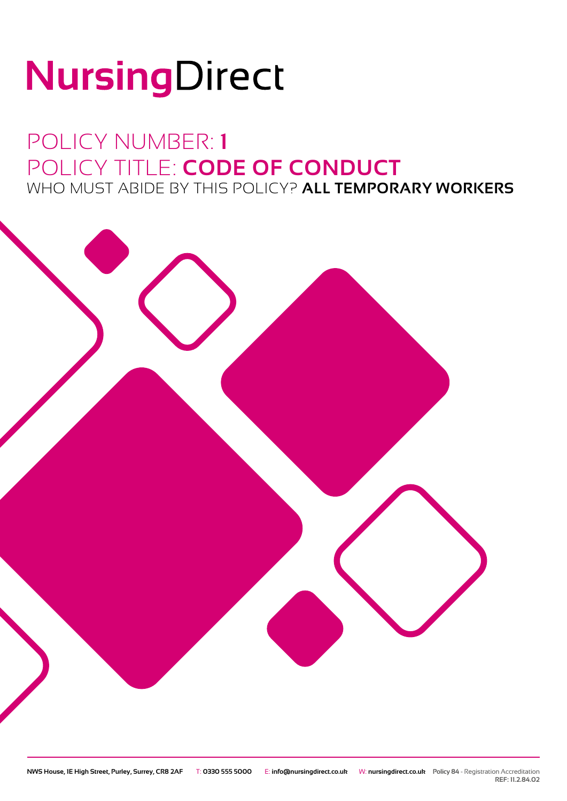# NursingDirect

### POLICY NUMBER: **1** POLICY TITLE: **CODE OF CONDUCT** WHO MUST ABIDE BY THIS POLICY? **ALL TEMPORARY WORKERS**



**REF: 11.2.84.02**